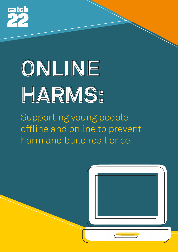

# **ONLINE ONLINE HARMS: HARMS:**

Supporting young people offline and online to prevent harm and build resilience

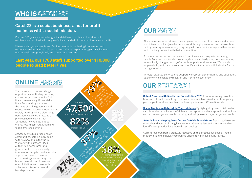# **OUR RESEARCH**

**[Catch22 National Online Harms Consultation 2020](https://spark.adobe.com/page/xPdStG4uB0P6I/)** A national survey on online harms and how it is resulting in harms offline, which received input from young people, youth workers, teachers, tech companies, and PCCs nationwide.

**[Social Media as a Catalyst for Youth Violence](https://www.catch-22.org.uk/social-media-as-a-catalyst-and-trigger-for-youth-violence/)** By highlighting how social media can glamorise or incite acts of violence, the report provides a springboard for how we can prevent young people harming, and being harmed by, other young people.

**[Safer Schools: Keeping Gang Culture Outside School Gates](https://cdn.catch-22.org.uk/wp-content/uploads/2016/05/Catch22-Dawes-Unit-Safer-Schools-Full-Report.pdf)** Exploring the extent to which and how pupil gang involvement raises challenges for schools and to identify best practice for schools in responding.

Current research from Catch22 is focussed on the effectiveness social media platforms' and technology companies' efforts to minimise online harms.



### **OUR WORK**

All our services must address the complex interactions of the online and offline world. We are building a safer online world through prevention and intervention, and by creating safe ways for young people to communicate, express themselves, and positively connect with their communities.

e on 2014<br>
37 March 2016 Catch 22 March 22 Strategy Rational Online<br>
37 March 22 Strategy Catch 22 Strategy Rational Online Harms Consultation said the Wave School Consultation occur to the main of the main of the main of the desired by the strategy of the control the **38% 38%**  of frontline practitioners

स्त्रीली

To have a real impact on the levels of risk of violence or exploitation young people face, we must tackle the cause; disenfranchised young people operating in a radically changing world, often without positive alternatives. We provide employability and training services, specifically focussed on digital skills for the next generation.

Through Catch22's one-to-one support work, practitioner training and education, all our work is backed by research and frontline experience.

At Catch22 we build resilience in communities, helping individuals to thrive now and in the future. We work with partners - local authorities, corporates, and government – to provide early intervention, targeted and specialist support services to those in crisis, leaving care, missing from home, those at risk of violence or exploitation, and those with substance misuse or mental health problems. **27% PIPS** 2700

### **WHO IS CATCH22?**

### **Catch22 is a social business, a not for profit business with a social mission.**

For over 200 years we have designed and delivered public services that build resilience and aspiration in people of all ages and within communities across the UK.

We work with young people and families in trouble, delivering intervention and response services across child sexual and criminal exploitation, gang involvement, mental health support, family and social care services.

### **Last year, our 1700 staff supported over 110,000 people to lead better lives.**

### **ONLINE HARMS**

There were

**47,500 47,500**  offences with a knife in 2019, an

**79%** 

do not feel sufficiently trained to deal with

### behaviou

The online world presents huge opportunities for finding purpose, connection, and community. But it also presents significant risks; it is a fast-moving space and the risks of online grooming and exposure to violence and trauma are rapidly growing. Where disturbing behaviour was once limited to a physical audience, harmful content is now rapidly shared online, resulting in retaliation and feeding violence offline.

**82% 82%** increase on 2014 **37%** 

of young responding Feel safe online all

Orig

the time

**79%** 

**Of 12-15 year old 12-15 year old 12-15 year old 12-15 year old 12-15 year old 12-15 year old 12-15 year old 12** internet users have had at least one potentially hardway Cesare online in the past 12 months. (Ofcom)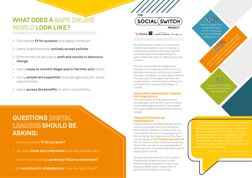By switching the narrative on how social media's relationship to youth violence is understood, tackled and solved, Catch22 and Redthread are collaborating on a public heath approach to addressing youth violence.

The pilot was funded by Google.org to educate frontline practitioners on how to talk about behaviour online and to upskill young at-risk people to enter digital careers. The success of the programme has been recognised by London's Violence Reduction Unit and is now funded by the Mayor of London.

### **SOCIAL MEDIA MANAGEMENT TRAINING FOR YOUNG PEOPLE**

The training has already supported 40 young people, setting them up for creative, sustainable digital careers. It has helped them gain placements and employment at Google.

### **TRAINING FOR FRONTLINE PROFESSIONALS**

To be an effective professional who works with young people, be it a social worker, police officer, teacher or youth worker, we must address all parts of a young person's life, including their digital world. This free course has given **522 frontline practitioners**  the confidence to have these conversations, where they can talk to young people about what's going on online and open their eyes to digital opportunities.

*We have also delivered £75,000 in grants to grassroots projects across London, empowering young people to create and expand projects which enable them to directly improve their community.* 

had increased the theory of the second the How to support you will be a sine at had increased their understanding of social media and how young people engage with it

# **WHAT DOES A SAFE ONLINE WORLD LOOK LIKE?**

- Policies are **fit for purpose** and legally compliant
- Users understand and **actively accept policies**
- Enforcement of policies is **swift and results in behaviour change**
- Users **cease to commit illegal and/or harmful acts** online
- Young **people are supported** to access genuine pro-social opportunities
- Users **access the benefits** of online connectivity

# **QUESTIONS DIGITAL LEADERS SHOULD BE ASKING:**

- Are our policies **fit for purpose?**
- Do users **know and understand** what the policies say?
- Does this knowledge **positively influence behaviour?**
- Do **sanctions for misbehaviour** have the right effect?



 "London's Violence Reduction Unit is focused on addressing the complex causes which lie behind young people becoming involved with, which supports young people in building their creative and digital skills and which will reach their true potential"

*Reduction Unit*





**94%** 

Young at-risk people trained to launch their digital careers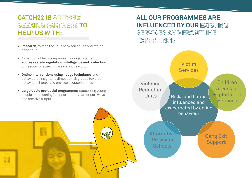# **CATCH22 IS ACTIVELY SEEKING PARTNERS TO HELP US WITH:**

- **• Research**, to map the links between online and offline behaviour
- A coalition of tech companies, working together to **address safety, regulation, intelligence and protection** of freedom of speech in a safe online world
- **• Online interventions using nudge techniques** and behavioural insights to direct at-risk groups towards behaviour change and pro-social opportunities
- **• Large-scale pro-social programmes**, supporting young people into meaningful opportunities, career pathways **Exercise Units Princess and harms** and creative output

Children at Risk of **Exploitation Services** 

Alternative Provision **Schools** 

Victim **Services** 

influenced and exacerbated by online behaviour

Violence

Reduction

Units

Gang Exit Support

# **ALL OUR PROGRAMMES ARE INFLUENCED BY OUR EXISTING SERVICES AND FRONTLINE**

**EXPERIENCE**